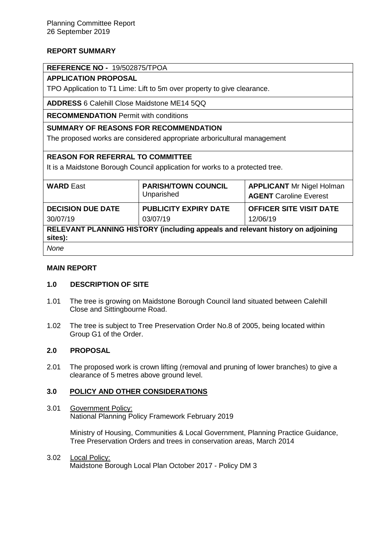# **REPORT SUMMARY**

### **REFERENCE NO -** 19/502875/TPOA

# **APPLICATION PROPOSAL**

TPO Application to T1 Lime: Lift to 5m over property to give clearance.

**ADDRESS** 6 Calehill Close Maidstone ME14 5QQ

**RECOMMENDATION** Permit with conditions

## **SUMMARY OF REASONS FOR RECOMMENDATION**

The proposed works are considered appropriate arboricultural management

# **REASON FOR REFERRAL TO COMMITTEE**

It is a Maidstone Borough Council application for works to a protected tree.

| <b>WARD East</b>                                                               | <b>PARISH/TOWN COUNCIL</b><br>Unparished | <b>APPLICANT</b> Mr Nigel Holman<br><b>AGENT</b> Caroline Everest |
|--------------------------------------------------------------------------------|------------------------------------------|-------------------------------------------------------------------|
| <b>DECISION DUE DATE</b>                                                       | <b>PUBLICITY EXPIRY DATE</b>             | <b>OFFICER SITE VISIT DATE</b>                                    |
| 30/07/19                                                                       | 03/07/19                                 | 12/06/19                                                          |
| RELEVANT PLANNING HISTORY (including appeals and relevant history on adjoining |                                          |                                                                   |

**RELEVANT BIGGING THE PROPERTY sites):**

*None*

### **MAIN REPORT**

### **1.0 DESCRIPTION OF SITE**

- 1.01 The tree is growing on Maidstone Borough Council land situated between Calehill Close and Sittingbourne Road.
- 1.02 The tree is subject to Tree Preservation Order No.8 of 2005, being located within Group G1 of the Order.

### **2.0 PROPOSAL**

2.01 The proposed work is crown lifting (removal and pruning of lower branches) to give a clearance of 5 metres above ground level.

# **3.0 POLICY AND OTHER CONSIDERATIONS**

3.01 Government Policy: National Planning Policy Framework February 2019

> Ministry of Housing, Communities & Local Government, Planning Practice Guidance, Tree Preservation Orders and trees in conservation areas, March 2014

3.02 Local Policy: Maidstone Borough Local Plan October 2017 - Policy DM 3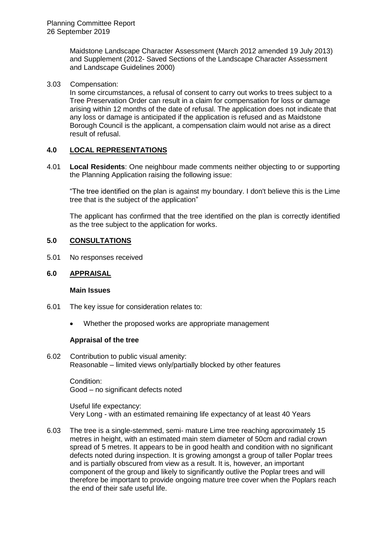Maidstone Landscape Character Assessment (March 2012 amended 19 July 2013) and Supplement (2012- Saved Sections of the Landscape Character Assessment and Landscape Guidelines 2000)

3.03 Compensation:

In some circumstances, a refusal of consent to carry out works to trees subject to a Tree Preservation Order can result in a claim for compensation for loss or damage arising within 12 months of the date of refusal. The application does not indicate that any loss or damage is anticipated if the application is refused and as Maidstone Borough Council is the applicant, a compensation claim would not arise as a direct result of refusal.

## **4.0 LOCAL REPRESENTATIONS**

4.01 **Local Residents**: One neighbour made comments neither objecting to or supporting the Planning Application raising the following issue:

"The tree identified on the plan is against my boundary. I don't believe this is the Lime tree that is the subject of the application"

The applicant has confirmed that the tree identified on the plan is correctly identified as the tree subject to the application for works.

## **5.0 CONSULTATIONS**

5.01 No responses received

### **6.0 APPRAISAL**

#### **Main Issues**

- 6.01 The key issue for consideration relates to:
	- Whether the proposed works are appropriate management

### **Appraisal of the tree**

6.02 Contribution to public visual amenity: Reasonable – limited views only/partially blocked by other features

Condition: Good – no significant defects noted

Useful life expectancy: Very Long - with an estimated remaining life expectancy of at least 40 Years

6.03 The tree is a single-stemmed, semi- mature Lime tree reaching approximately 15 metres in height, with an estimated main stem diameter of 50cm and radial crown spread of 5 metres. It appears to be in good health and condition with no significant defects noted during inspection. It is growing amongst a group of taller Poplar trees and is partially obscured from view as a result. It is, however, an important component of the group and likely to significantly outlive the Poplar trees and will therefore be important to provide ongoing mature tree cover when the Poplars reach the end of their safe useful life.